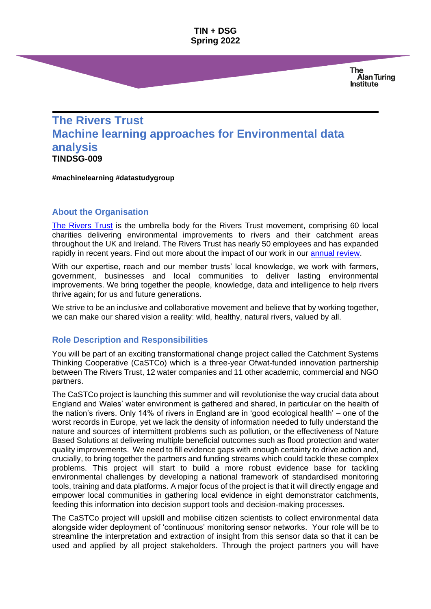**TIN + DSG Spring 2022**

> **The** Alan Turing Institute

# **The Rivers Trust Machine learning approaches for Environmental data analysis TINDSG-009**

**#machinelearning #datastudygroup**

#### **About the Organisation**

[The Rivers Trust](https://theriverstrust.org/) is the umbrella body for the Rivers Trust movement, comprising 60 local charities delivering environmental improvements to rivers and their catchment areas throughout the UK and Ireland. The Rivers Trust has nearly 50 employees and has expanded rapidly in recent years. Find out more about the impact of our work in our [annual review.](https://theriverstrust.org/our-work/our-impact)

With our expertise, reach and our member trusts' local knowledge, we work with farmers, government, businesses and local communities to deliver lasting environmental improvements. We bring together the people, knowledge, data and intelligence to help rivers thrive again; for us and future generations.

We strive to be an inclusive and collaborative movement and believe that by working together, we can make our shared vision a reality: wild, healthy, natural rivers, valued by all.

#### **Role Description and Responsibilities**

You will be part of an exciting transformational change project called the Catchment Systems Thinking Cooperative (CaSTCo) which is a three-year Ofwat-funded innovation partnership between The Rivers Trust, 12 water companies and 11 other academic, commercial and NGO partners.

The CaSTCo project is launching this summer and will revolutionise the way crucial data about England and Wales' water environment is gathered and shared, in particular on the health of the nation's rivers. Only 14% of rivers in England are in 'good ecological health' – one of the worst records in Europe, yet we lack the density of information needed to fully understand the nature and sources of intermittent problems such as pollution, or the effectiveness of Nature Based Solutions at delivering multiple beneficial outcomes such as flood protection and water quality improvements. We need to fill evidence gaps with enough certainty to drive action and, crucially, to bring together the partners and funding streams which could tackle these complex problems. This project will start to build a more robust evidence base for tackling environmental challenges by developing a national framework of standardised monitoring tools, training and data platforms. A major focus of the project is that it will directly engage and empower local communities in gathering local evidence in eight demonstrator catchments, feeding this information into decision support tools and decision-making processes.

The CaSTCo project will upskill and mobilise citizen scientists to collect environmental data alongside wider deployment of 'continuous' monitoring sensor networks. Your role will be to streamline the interpretation and extraction of insight from this sensor data so that it can be used and applied by all project stakeholders. Through the project partners you will have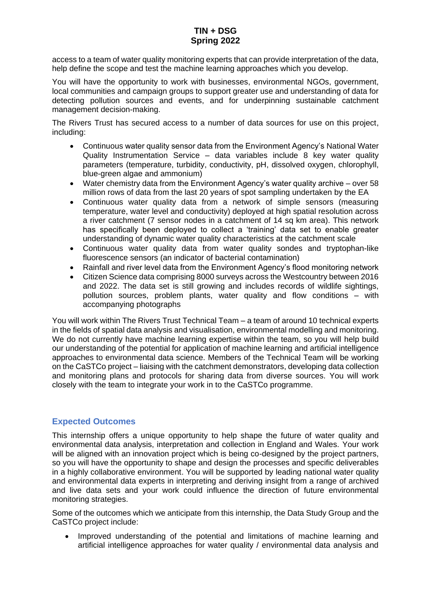# **TIN + DSG Spring 2022**

access to a team of water quality monitoring experts that can provide interpretation of the data, help define the scope and test the machine learning approaches which you develop.

You will have the opportunity to work with businesses, environmental NGOs, government, local communities and campaign groups to support greater use and understanding of data for detecting pollution sources and events, and for underpinning sustainable catchment management decision-making.

The Rivers Trust has secured access to a number of data sources for use on this project, including:

- Continuous water quality sensor data from the Environment Agency's National Water Quality Instrumentation Service – data variables include 8 key water quality parameters (temperature, turbidity, conductivity, pH, dissolved oxygen, chlorophyll, blue-green algae and ammonium)
- Water chemistry data from the Environment Agency's water quality archive over 58 million rows of data from the last 20 years of spot sampling undertaken by the EA
- Continuous water quality data from a network of simple sensors (measuring temperature, water level and conductivity) deployed at high spatial resolution across a river catchment (7 sensor nodes in a catchment of 14 sq km area). This network has specifically been deployed to collect a 'training' data set to enable greater understanding of dynamic water quality characteristics at the catchment scale
- Continuous water quality data from water quality sondes and tryptophan-like fluorescence sensors (an indicator of bacterial contamination)
- Rainfall and river level data from the Environment Agency's flood monitoring network
- Citizen Science data comprising 8000 surveys across the Westcountry between 2016 and 2022. The data set is still growing and includes records of wildlife sightings, pollution sources, problem plants, water quality and flow conditions – with accompanying photographs

You will work within The Rivers Trust Technical Team – a team of around 10 technical experts in the fields of spatial data analysis and visualisation, environmental modelling and monitoring. We do not currently have machine learning expertise within the team, so you will help build our understanding of the potential for application of machine learning and artificial intelligence approaches to environmental data science. Members of the Technical Team will be working on the CaSTCo project – liaising with the catchment demonstrators, developing data collection and monitoring plans and protocols for sharing data from diverse sources. You will work closely with the team to integrate your work in to the CaSTCo programme.

# **Expected Outcomes**

This internship offers a unique opportunity to help shape the future of water quality and environmental data analysis, interpretation and collection in England and Wales. Your work will be aligned with an innovation project which is being co-designed by the project partners, so you will have the opportunity to shape and design the processes and specific deliverables in a highly collaborative environment. You will be supported by leading national water quality and environmental data experts in interpreting and deriving insight from a range of archived and live data sets and your work could influence the direction of future environmental monitoring strategies.

Some of the outcomes which we anticipate from this internship, the Data Study Group and the CaSTCo project include:

• Improved understanding of the potential and limitations of machine learning and artificial intelligence approaches for water quality / environmental data analysis and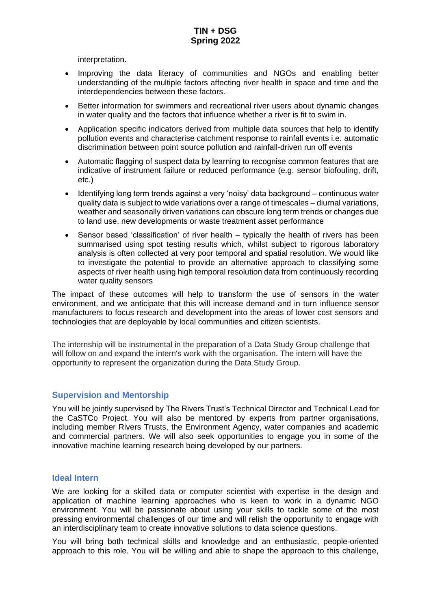interpretation.

- Improving the data literacy of communities and NGOs and enabling better understanding of the multiple factors affecting river health in space and time and the interdependencies between these factors.
- Better information for swimmers and recreational river users about dynamic changes in water quality and the factors that influence whether a river is fit to swim in.
- Application specific indicators derived from multiple data sources that help to identify pollution events and characterise catchment response to rainfall events i.e. automatic discrimination between point source pollution and rainfall-driven run off events
- Automatic flagging of suspect data by learning to recognise common features that are indicative of instrument failure or reduced performance (e.g. sensor biofouling, drift, etc.)
- Identifying long term trends against a very 'noisy' data background continuous water quality data is subject to wide variations over a range of timescales – diurnal variations, weather and seasonally driven variations can obscure long term trends or changes due to land use, new developments or waste treatment asset performance
- Sensor based 'classification' of river health typically the health of rivers has been summarised using spot testing results which, whilst subject to rigorous laboratory analysis is often collected at very poor temporal and spatial resolution. We would like to investigate the potential to provide an alternative approach to classifying some aspects of river health using high temporal resolution data from continuously recording water quality sensors

The impact of these outcomes will help to transform the use of sensors in the water environment, and we anticipate that this will increase demand and in turn influence sensor manufacturers to focus research and development into the areas of lower cost sensors and technologies that are deployable by local communities and citizen scientists.

The internship will be instrumental in the preparation of a Data Study Group challenge that will follow on and expand the intern's work with the organisation. The intern will have the opportunity to represent the organization during the Data Study Group.

#### **Supervision and Mentorship**

You will be jointly supervised by The Rivers Trust's Technical Director and Technical Lead for the CaSTCo Project. You will also be mentored by experts from partner organisations, including member Rivers Trusts, the Environment Agency, water companies and academic and commercial partners. We will also seek opportunities to engage you in some of the innovative machine learning research being developed by our partners.

#### **Ideal Intern**

We are looking for a skilled data or computer scientist with expertise in the design and application of machine learning approaches who is keen to work in a dynamic NGO environment. You will be passionate about using your skills to tackle some of the most pressing environmental challenges of our time and will relish the opportunity to engage with an interdisciplinary team to create innovative solutions to data science questions.

You will bring both technical skills and knowledge and an enthusiastic, people-oriented approach to this role. You will be willing and able to shape the approach to this challenge,